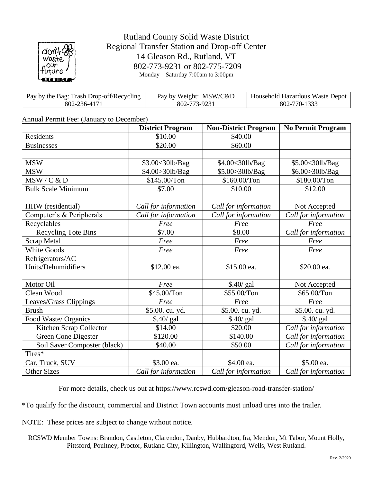

## Rutland County Solid Waste District Regional Transfer Station and Drop-off Center 14 Gleason Rd., Rutland, VT 802-773-9231 or 802-775-7209 Monday – Saturday 7:00am to 3:00pm

| Pay by the Bag: Trash Drop-off/Recycling | Pay by Weight: MSW/C&D | Household Hazardous Waste Depot |
|------------------------------------------|------------------------|---------------------------------|
| 802-236-4171                             | 802-773-9231           | 802-770-1333                    |

## Annual Permit Fee: (January to December)

|                              | <b>District Program</b> | <b>Non-District Program</b> | <b>No Permit Program</b> |
|------------------------------|-------------------------|-----------------------------|--------------------------|
| Residents                    | \$10.00                 | \$40.00                     |                          |
| <b>Businesses</b>            | \$20.00                 | \$60.00                     |                          |
|                              |                         |                             |                          |
| <b>MSW</b>                   | \$3.00<30lb/Bag         | \$4.00<30lb/Bag             | \$5.00<30lb/Bag          |
| <b>MSW</b>                   | \$4.00>30lb/Bag         | \$5.00>30lb/Bag             | \$6.00>30lb/Bag          |
| MSW/C & D                    | \$145.00/Ton            | \$160.00/Ton                | \$180.00/Ton             |
| <b>Bulk Scale Minimum</b>    | \$7.00                  | \$10.00                     | \$12.00                  |
|                              |                         |                             |                          |
| HHW (residential)            | Call for information    | Call for information        | Not Accepted             |
| Computer's & Peripherals     | Call for information    | Call for information        | Call for information     |
| Recyclables                  | Free                    | Free                        | Free                     |
| <b>Recycling Tote Bins</b>   | \$7.00                  | \$8.00                      | Call for information     |
| <b>Scrap Metal</b>           | Free                    | Free                        | Free                     |
| <b>White Goods</b>           | Free                    | Free                        | Free                     |
| Refrigerators/AC             |                         |                             |                          |
| Units/Dehumidifiers          | \$12.00 ea.             | \$15.00 ea.                 | \$20.00 ea.              |
|                              |                         |                             |                          |
| Motor Oil                    | Free                    | \$.40/ gal                  | Not Accepted             |
| Clean Wood                   | \$45.00/Ton             | \$55.00/Ton                 | \$65.00/Ton              |
| Leaves/Grass Clippings       | Free                    | Free                        | Free                     |
| <b>Brush</b>                 | \$5.00. cu. yd.         | \$5.00. cu. yd.             | \$5.00. cu. yd.          |
| Food Waste/ Organics         | \$.40/ gal              | \$.40/ gal                  | \$.40/ gal               |
| Kitchen Scrap Collector      | \$14.00                 | \$20.00                     | Call for information     |
| Green Cone Digester          | \$120.00                | \$140.00                    | Call for information     |
| Soil Saver Composter (black) | \$40.00                 | \$50.00                     | Call for information     |
| Tires*                       |                         |                             |                          |
| Car, Truck, SUV              | \$3.00 ea.              | \$4.00 ea.                  | \$5.00 ea.               |
| <b>Other Sizes</b>           | Call for information    | Call for information        | Call for information     |

For more details, check us out at <https://www.rcswd.com/gleason-road-transfer-station/>

\*To qualify for the discount, commercial and District Town accounts must unload tires into the trailer.

NOTE: These prices are subject to change without notice.

RCSWD Member Towns: Brandon, Castleton, Clarendon, Danby, Hubbardton, Ira, Mendon, Mt Tabor, Mount Holly, Pittsford, Poultney, Proctor, Rutland City, Killington, Wallingford, Wells, West Rutland.